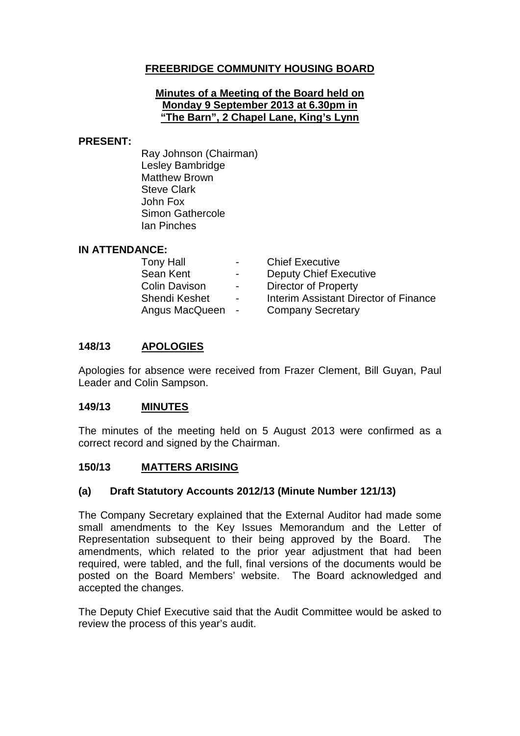# **FREEBRIDGE COMMUNITY HOUSING BOARD**

#### **Minutes of a Meeting of the Board held on Monday 9 September 2013 at 6.30pm in "The Barn", 2 Chapel Lane, King's Lynn**

#### **PRESENT:**

Ray Johnson (Chairman) Lesley Bambridge Matthew Brown Steve Clark John Fox Simon Gathercole Ian Pinches

### **IN ATTENDANCE:**

| <b>Tony Hall</b>     | $\sim 100$       | <b>Chief Executive</b>                |
|----------------------|------------------|---------------------------------------|
| Sean Kent            | $\sim$           | <b>Deputy Chief Executive</b>         |
| <b>Colin Davison</b> | $\sim$ 10 $\sim$ | <b>Director of Property</b>           |
| <b>Shendi Keshet</b> | $\overline{a}$   | Interim Assistant Director of Finance |
| Angus MacQueen       | $\sim 100$       | <b>Company Secretary</b>              |

### **148/13 APOLOGIES**

Apologies for absence were received from Frazer Clement, Bill Guyan, Paul Leader and Colin Sampson.

#### **149/13 MINUTES**

The minutes of the meeting held on 5 August 2013 were confirmed as a correct record and signed by the Chairman.

### **150/13 MATTERS ARISING**

### **(a) Draft Statutory Accounts 2012/13 (Minute Number 121/13)**

The Company Secretary explained that the External Auditor had made some small amendments to the Key Issues Memorandum and the Letter of Representation subsequent to their being approved by the Board. The amendments, which related to the prior year adjustment that had been required, were tabled, and the full, final versions of the documents would be posted on the Board Members' website. The Board acknowledged and accepted the changes.

The Deputy Chief Executive said that the Audit Committee would be asked to review the process of this year's audit.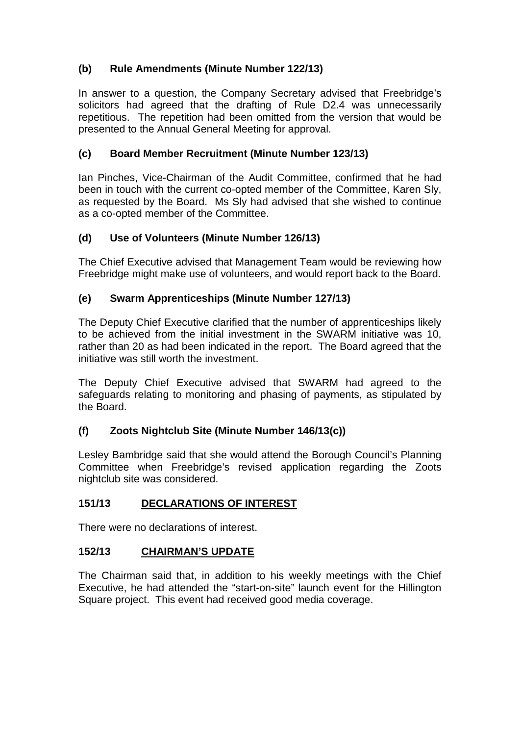# **(b) Rule Amendments (Minute Number 122/13)**

In answer to a question, the Company Secretary advised that Freebridge's solicitors had agreed that the drafting of Rule D2.4 was unnecessarily repetitious. The repetition had been omitted from the version that would be presented to the Annual General Meeting for approval.

# **(c) Board Member Recruitment (Minute Number 123/13)**

Ian Pinches, Vice-Chairman of the Audit Committee, confirmed that he had been in touch with the current co-opted member of the Committee, Karen Sly, as requested by the Board. Ms Sly had advised that she wished to continue as a co-opted member of the Committee.

# **(d) Use of Volunteers (Minute Number 126/13)**

The Chief Executive advised that Management Team would be reviewing how Freebridge might make use of volunteers, and would report back to the Board.

# **(e) Swarm Apprenticeships (Minute Number 127/13)**

The Deputy Chief Executive clarified that the number of apprenticeships likely to be achieved from the initial investment in the SWARM initiative was 10, rather than 20 as had been indicated in the report. The Board agreed that the initiative was still worth the investment.

The Deputy Chief Executive advised that SWARM had agreed to the safeguards relating to monitoring and phasing of payments, as stipulated by the Board.

# **(f) Zoots Nightclub Site (Minute Number 146/13(c))**

Lesley Bambridge said that she would attend the Borough Council's Planning Committee when Freebridge's revised application regarding the Zoots nightclub site was considered.

# **151/13 DECLARATIONS OF INTEREST**

There were no declarations of interest.

# **152/13 CHAIRMAN'S UPDATE**

The Chairman said that, in addition to his weekly meetings with the Chief Executive, he had attended the "start-on-site" launch event for the Hillington Square project. This event had received good media coverage.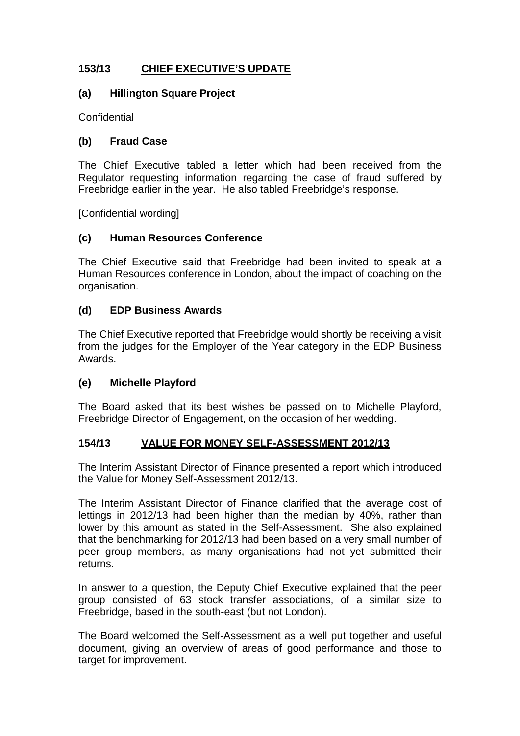# **153/13 CHIEF EXECUTIVE'S UPDATE**

### **(a) Hillington Square Project**

**Confidential** 

## **(b) Fraud Case**

The Chief Executive tabled a letter which had been received from the Regulator requesting information regarding the case of fraud suffered by Freebridge earlier in the year. He also tabled Freebridge's response.

[Confidential wording]

## **(c) Human Resources Conference**

The Chief Executive said that Freebridge had been invited to speak at a Human Resources conference in London, about the impact of coaching on the organisation.

## **(d) EDP Business Awards**

The Chief Executive reported that Freebridge would shortly be receiving a visit from the judges for the Employer of the Year category in the EDP Business Awards.

### **(e) Michelle Playford**

The Board asked that its best wishes be passed on to Michelle Playford, Freebridge Director of Engagement, on the occasion of her wedding.

### **154/13 VALUE FOR MONEY SELF-ASSESSMENT 2012/13**

The Interim Assistant Director of Finance presented a report which introduced the Value for Money Self-Assessment 2012/13.

The Interim Assistant Director of Finance clarified that the average cost of lettings in 2012/13 had been higher than the median by 40%, rather than lower by this amount as stated in the Self-Assessment. She also explained that the benchmarking for 2012/13 had been based on a very small number of peer group members, as many organisations had not yet submitted their returns.

In answer to a question, the Deputy Chief Executive explained that the peer group consisted of 63 stock transfer associations, of a similar size to Freebridge, based in the south-east (but not London).

The Board welcomed the Self-Assessment as a well put together and useful document, giving an overview of areas of good performance and those to target for improvement.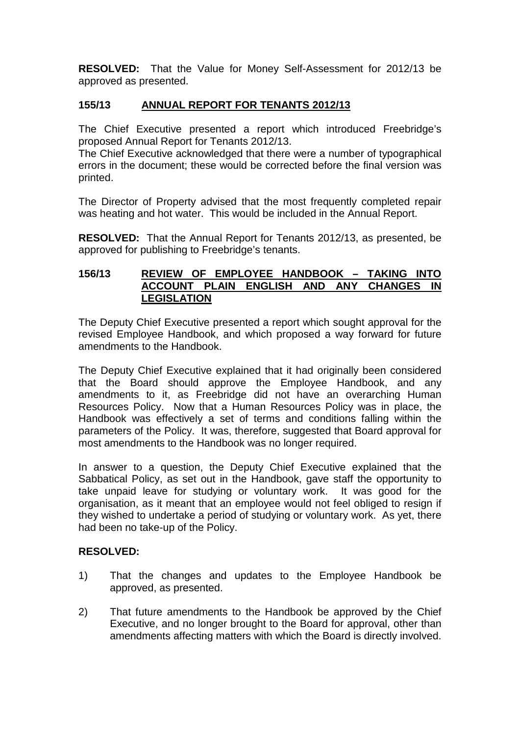**RESOLVED:** That the Value for Money Self-Assessment for 2012/13 be approved as presented.

# **155/13 ANNUAL REPORT FOR TENANTS 2012/13**

The Chief Executive presented a report which introduced Freebridge's proposed Annual Report for Tenants 2012/13.

The Chief Executive acknowledged that there were a number of typographical errors in the document; these would be corrected before the final version was printed.

The Director of Property advised that the most frequently completed repair was heating and hot water. This would be included in the Annual Report.

**RESOLVED:** That the Annual Report for Tenants 2012/13, as presented, be approved for publishing to Freebridge's tenants.

#### **156/13 REVIEW OF EMPLOYEE HANDBOOK – TAKING INTO ACCOUNT PLAIN ENGLISH AND ANY CHANGES IN LEGISLATION**

The Deputy Chief Executive presented a report which sought approval for the revised Employee Handbook, and which proposed a way forward for future amendments to the Handbook.

The Deputy Chief Executive explained that it had originally been considered that the Board should approve the Employee Handbook, and any amendments to it, as Freebridge did not have an overarching Human Resources Policy. Now that a Human Resources Policy was in place, the Handbook was effectively a set of terms and conditions falling within the parameters of the Policy. It was, therefore, suggested that Board approval for most amendments to the Handbook was no longer required.

In answer to a question, the Deputy Chief Executive explained that the Sabbatical Policy, as set out in the Handbook, gave staff the opportunity to take unpaid leave for studying or voluntary work. It was good for the organisation, as it meant that an employee would not feel obliged to resign if they wished to undertake a period of studying or voluntary work. As yet, there had been no take-up of the Policy.

## **RESOLVED:**

- 1) That the changes and updates to the Employee Handbook be approved, as presented.
- 2) That future amendments to the Handbook be approved by the Chief Executive, and no longer brought to the Board for approval, other than amendments affecting matters with which the Board is directly involved.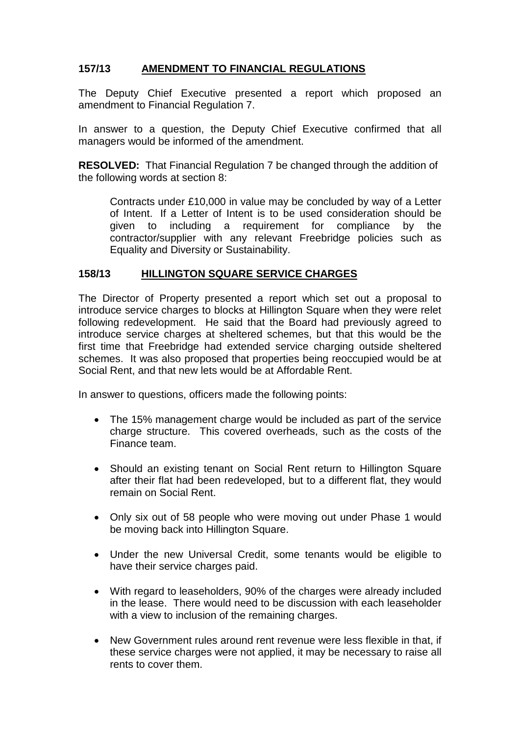# **157/13 AMENDMENT TO FINANCIAL REGULATIONS**

The Deputy Chief Executive presented a report which proposed an amendment to Financial Regulation 7.

In answer to a question, the Deputy Chief Executive confirmed that all managers would be informed of the amendment.

**RESOLVED:** That Financial Regulation 7 be changed through the addition of the following words at section 8:

Contracts under £10,000 in value may be concluded by way of a Letter of Intent. If a Letter of Intent is to be used consideration should be given to including a requirement for compliance by the contractor/supplier with any relevant Freebridge policies such as Equality and Diversity or Sustainability.

### **158/13 HILLINGTON SQUARE SERVICE CHARGES**

The Director of Property presented a report which set out a proposal to introduce service charges to blocks at Hillington Square when they were relet following redevelopment. He said that the Board had previously agreed to introduce service charges at sheltered schemes, but that this would be the first time that Freebridge had extended service charging outside sheltered schemes. It was also proposed that properties being reoccupied would be at Social Rent, and that new lets would be at Affordable Rent.

In answer to questions, officers made the following points:

- The 15% management charge would be included as part of the service charge structure. This covered overheads, such as the costs of the Finance team.
- Should an existing tenant on Social Rent return to Hillington Square after their flat had been redeveloped, but to a different flat, they would remain on Social Rent.
- Only six out of 58 people who were moving out under Phase 1 would be moving back into Hillington Square.
- Under the new Universal Credit, some tenants would be eligible to have their service charges paid.
- With regard to leaseholders, 90% of the charges were already included in the lease. There would need to be discussion with each leaseholder with a view to inclusion of the remaining charges.
- New Government rules around rent revenue were less flexible in that, if these service charges were not applied, it may be necessary to raise all rents to cover them.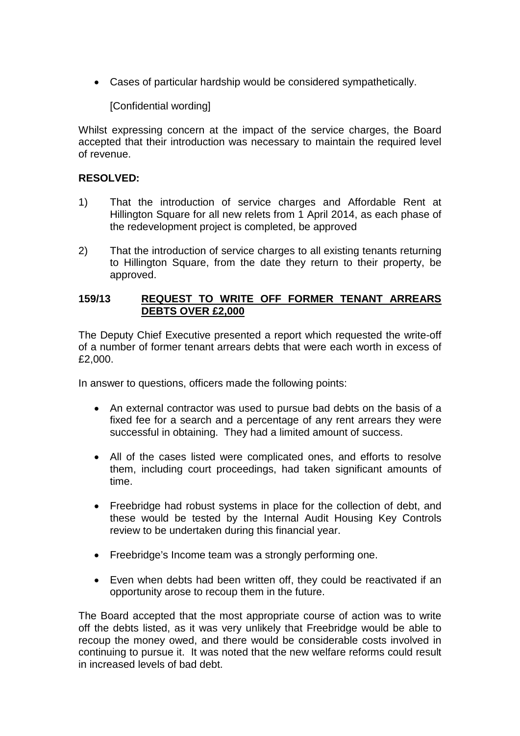• Cases of particular hardship would be considered sympathetically.

[Confidential wording]

Whilst expressing concern at the impact of the service charges, the Board accepted that their introduction was necessary to maintain the required level of revenue.

### **RESOLVED:**

- 1) That the introduction of service charges and Affordable Rent at Hillington Square for all new relets from 1 April 2014, as each phase of the redevelopment project is completed, be approved
- 2) That the introduction of service charges to all existing tenants returning to Hillington Square, from the date they return to their property, be approved.

### **159/13 REQUEST TO WRITE OFF FORMER TENANT ARREARS DEBTS OVER £2,000**

The Deputy Chief Executive presented a report which requested the write-off of a number of former tenant arrears debts that were each worth in excess of £2,000.

In answer to questions, officers made the following points:

- An external contractor was used to pursue bad debts on the basis of a fixed fee for a search and a percentage of any rent arrears they were successful in obtaining. They had a limited amount of success.
- All of the cases listed were complicated ones, and efforts to resolve them, including court proceedings, had taken significant amounts of time.
- Freebridge had robust systems in place for the collection of debt, and these would be tested by the Internal Audit Housing Key Controls review to be undertaken during this financial year.
- Freebridge's Income team was a strongly performing one.
- Even when debts had been written off, they could be reactivated if an opportunity arose to recoup them in the future.

The Board accepted that the most appropriate course of action was to write off the debts listed, as it was very unlikely that Freebridge would be able to recoup the money owed, and there would be considerable costs involved in continuing to pursue it. It was noted that the new welfare reforms could result in increased levels of bad debt.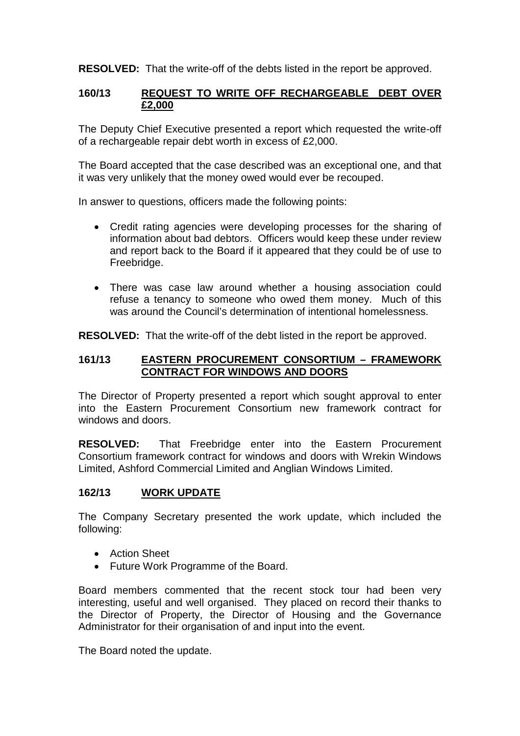**RESOLVED:** That the write-off of the debts listed in the report be approved.

### **160/13 REQUEST TO WRITE OFF RECHARGEABLE DEBT OVER £2,000**

The Deputy Chief Executive presented a report which requested the write-off of a rechargeable repair debt worth in excess of £2,000.

The Board accepted that the case described was an exceptional one, and that it was very unlikely that the money owed would ever be recouped.

In answer to questions, officers made the following points:

- Credit rating agencies were developing processes for the sharing of information about bad debtors. Officers would keep these under review and report back to the Board if it appeared that they could be of use to Freebridge.
- There was case law around whether a housing association could refuse a tenancy to someone who owed them money. Much of this was around the Council's determination of intentional homelessness.

**RESOLVED:** That the write-off of the debt listed in the report be approved.

### **161/13 EASTERN PROCUREMENT CONSORTIUM – FRAMEWORK CONTRACT FOR WINDOWS AND DOORS**

The Director of Property presented a report which sought approval to enter into the Eastern Procurement Consortium new framework contract for windows and doors.

**RESOLVED:** That Freebridge enter into the Eastern Procurement Consortium framework contract for windows and doors with Wrekin Windows Limited, Ashford Commercial Limited and Anglian Windows Limited.

## **162/13 WORK UPDATE**

The Company Secretary presented the work update, which included the following:

- Action Sheet
- Future Work Programme of the Board.

Board members commented that the recent stock tour had been very interesting, useful and well organised. They placed on record their thanks to the Director of Property, the Director of Housing and the Governance Administrator for their organisation of and input into the event.

The Board noted the update.